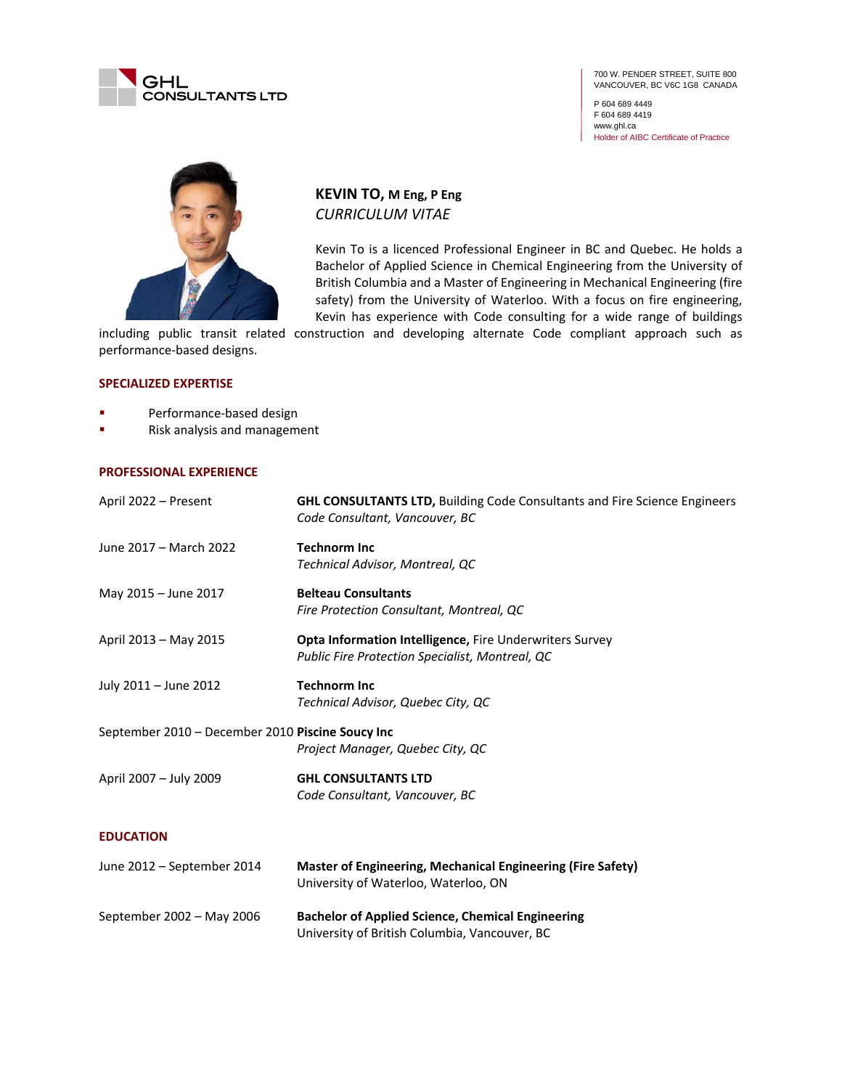

700 W. PENDER STREET, SUITE 800 VANCOUVER, BC V6C 1G8 CANADA

P 604 689 4449 F 604 689 4419 www.ghl.ca Holder of AIBC Certificate of Practice



**KEVIN TO, M Eng, P Eng** *CURRICULUM VITAE*

Kevin To is a licenced Professional Engineer in BC and Quebec. He holds a Bachelor of Applied Science in Chemical Engineering from the University of British Columbia and a Master of Engineering in Mechanical Engineering (fire safety) from the University of Waterloo. With a focus on fire engineering, Kevin has experience with Code consulting for a wide range of buildings

including public transit related construction and developing alternate Code compliant approach such as performance-based designs.

## **SPECIALIZED EXPERTISE**

- Performance-based design
- Risk analysis and management

## **PROFESSIONAL EXPERIENCE**

| April 2022 – Present                                                                 | <b>GHL CONSULTANTS LTD, Building Code Consultants and Fire Science Engineers</b><br>Code Consultant, Vancouver, BC |  |
|--------------------------------------------------------------------------------------|--------------------------------------------------------------------------------------------------------------------|--|
| June 2017 - March 2022                                                               | <b>Technorm Inc</b><br>Technical Advisor, Montreal, QC                                                             |  |
| May 2015 - June 2017                                                                 | <b>Belteau Consultants</b><br>Fire Protection Consultant, Montreal, QC                                             |  |
| April 2013 - May 2015                                                                | <b>Opta Information Intelligence, Fire Underwriters Survey</b><br>Public Fire Protection Specialist, Montreal, QC  |  |
| July 2011 - June 2012                                                                | <b>Technorm Inc</b><br>Technical Advisor, Quebec City, QC                                                          |  |
| September 2010 - December 2010 Piscine Soucy Inc<br>Project Manager, Quebec City, QC |                                                                                                                    |  |
| April 2007 - July 2009                                                               | <b>GHL CONSULTANTS LTD</b><br>Code Consultant, Vancouver, BC                                                       |  |
| <b>EDUCATION</b>                                                                     |                                                                                                                    |  |
| June 2012 – September 2014                                                           | Master of Engineering, Mechanical Engineering (Fire Safety)<br>University of Waterloo, Waterloo, ON                |  |

| September 2002 - May 2006 | <b>Bachelor of Applied Science, Chemical Engineering</b> |
|---------------------------|----------------------------------------------------------|
|                           | University of British Columbia, Vancouver, BC            |